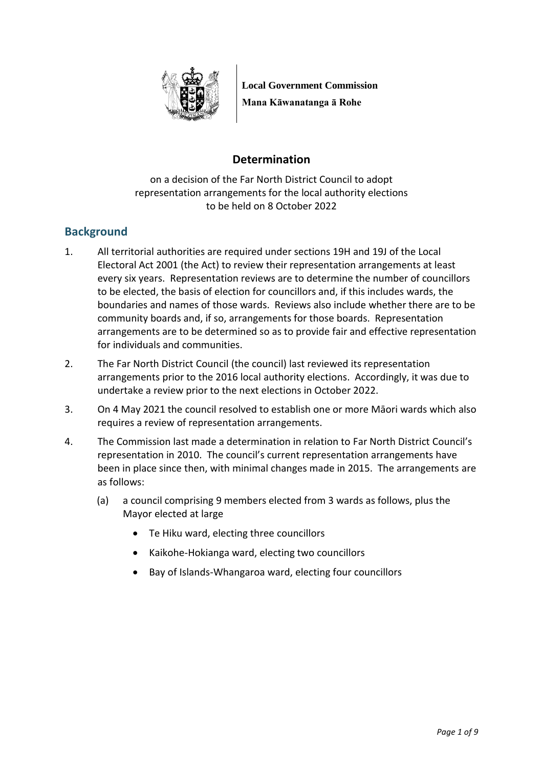

**Local Government Commission Mana Kāwanatanga ā Rohe**

# **Determination**

on a decision of the Far North District Council to adopt representation arrangements for the local authority elections to be held on 8 October 2022

# **Background**

- 1. All territorial authorities are required under sections 19H and 19J of the Local Electoral Act 2001 (the Act) to review their representation arrangements at least every six years. Representation reviews are to determine the number of councillors to be elected, the basis of election for councillors and, if this includes wards, the boundaries and names of those wards. Reviews also include whether there are to be community boards and, if so, arrangements for those boards. Representation arrangements are to be determined so as to provide fair and effective representation for individuals and communities.
- 2. The Far North District Council (the council) last reviewed its representation arrangements prior to the 2016 local authority elections. Accordingly, it was due to undertake a review prior to the next elections in October 2022.
- 3. On 4 May 2021 the council resolved to establish one or more Māori wards which also requires a review of representation arrangements.
- 4. The Commission last made a determination in relation to Far North District Council's representation in 2010. The council's current representation arrangements have been in place since then, with minimal changes made in 2015. The arrangements are as follows:
	- (a) a council comprising 9 members elected from 3 wards as follows, plus the Mayor elected at large
		- Te Hiku ward, electing three councillors
		- Kaikohe-Hokianga ward, electing two councillors
		- Bay of Islands-Whangaroa ward, electing four councillors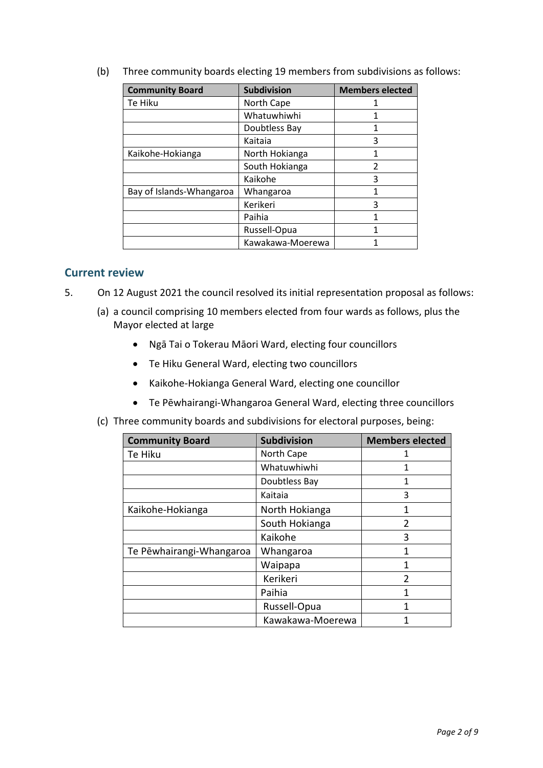| <b>Community Board</b>   | <b>Subdivision</b> | <b>Members elected</b> |
|--------------------------|--------------------|------------------------|
| Te Hiku                  | North Cape         |                        |
|                          | Whatuwhiwhi        |                        |
|                          | Doubtless Bay      |                        |
|                          | Kaitaia            | 3                      |
| Kaikohe-Hokianga         | North Hokianga     | 1                      |
|                          | South Hokianga     | $\mathfrak{p}$         |
|                          | Kaikohe            | 3                      |
| Bay of Islands-Whangaroa | Whangaroa          | 1                      |
|                          | Kerikeri           | 3                      |
|                          | Paihia             |                        |
|                          | Russell-Opua       | 1                      |
|                          | Kawakawa-Moerewa   |                        |

(b) Three community boards electing 19 members from subdivisions as follows:

### **Current review**

- 5. On 12 August 2021 the council resolved its initial representation proposal as follows:
	- (a) a council comprising 10 members elected from four wards as follows, plus the Mayor elected at large
		- Ngā Tai o Tokerau Māori Ward, electing four councillors
		- Te Hiku General Ward, electing two councillors
		- Kaikohe-Hokianga General Ward, electing one councillor
		- Te Pēwhairangi-Whangaroa General Ward, electing three councillors
	- (c) Three community boards and subdivisions for electoral purposes, being:

| <b>Community Board</b>   | <b>Subdivision</b> | <b>Members elected</b> |
|--------------------------|--------------------|------------------------|
| Te Hiku                  | North Cape         | 1                      |
|                          | Whatuwhiwhi        |                        |
|                          | Doubtless Bay      | 1                      |
|                          | Kaitaia            | 3                      |
| Kaikohe-Hokianga         | North Hokianga     |                        |
|                          | South Hokianga     | $\overline{2}$         |
|                          | Kaikohe            | 3                      |
| Te Pēwhairangi-Whangaroa | Whangaroa          |                        |
|                          | Waipapa            | 1                      |
|                          | Kerikeri           | $\mathfrak{p}$         |
|                          | Paihia             |                        |
|                          | Russell-Opua       | 1                      |
|                          | Kawakawa-Moerewa   |                        |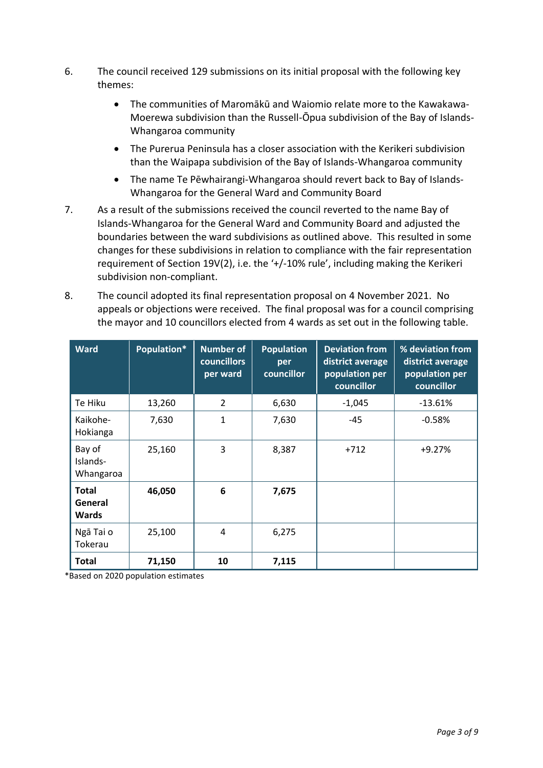- 6. The council received 129 submissions on its initial proposal with the following key themes:
	- The communities of Maromākū and Waiomio relate more to the Kawakawa-Moerewa subdivision than the Russell-Ōpua subdivision of the Bay of Islands-Whangaroa community
	- The Purerua Peninsula has a closer association with the Kerikeri subdivision than the Waipapa subdivision of the Bay of Islands-Whangaroa community
	- The name Te Pēwhairangi-Whangaroa should revert back to Bay of Islands-Whangaroa for the General Ward and Community Board
- 7. As a result of the submissions received the council reverted to the name Bay of Islands-Whangaroa for the General Ward and Community Board and adjusted the boundaries between the ward subdivisions as outlined above. This resulted in some changes for these subdivisions in relation to compliance with the fair representation requirement of Section 19V(2), i.e. the '+/-10% rule', including making the Kerikeri subdivision non-compliant.
- 8. The council adopted its final representation proposal on 4 November 2021. No appeals or objections were received. The final proposal was for a council comprising the mayor and 10 councillors elected from 4 wards as set out in the following table.

| <b>Ward</b>                      | Population* | <b>Number of</b><br><b>councillors</b><br>per ward | <b>Population</b><br>per<br>councillor | <b>Deviation from</b><br>district average<br>population per<br>councillor | % deviation from<br>district average<br>population per<br>councillor |
|----------------------------------|-------------|----------------------------------------------------|----------------------------------------|---------------------------------------------------------------------------|----------------------------------------------------------------------|
| Te Hiku                          | 13,260      | $\overline{2}$                                     | 6,630                                  | $-1,045$                                                                  | $-13.61%$                                                            |
| Kaikohe-<br>Hokianga             | 7,630       | 1                                                  | 7,630                                  | $-45$                                                                     | $-0.58%$                                                             |
| Bay of<br>Islands-<br>Whangaroa  | 25,160      | 3                                                  | 8,387                                  | $+712$                                                                    | $+9.27%$                                                             |
| <b>Total</b><br>General<br>Wards | 46,050      | 6                                                  | 7,675                                  |                                                                           |                                                                      |
| Ngā Tai o<br>Tokerau             | 25,100      | 4                                                  | 6,275                                  |                                                                           |                                                                      |
| <b>Total</b>                     | 71,150      | 10                                                 | 7,115                                  |                                                                           |                                                                      |

\*Based on 2020 population estimates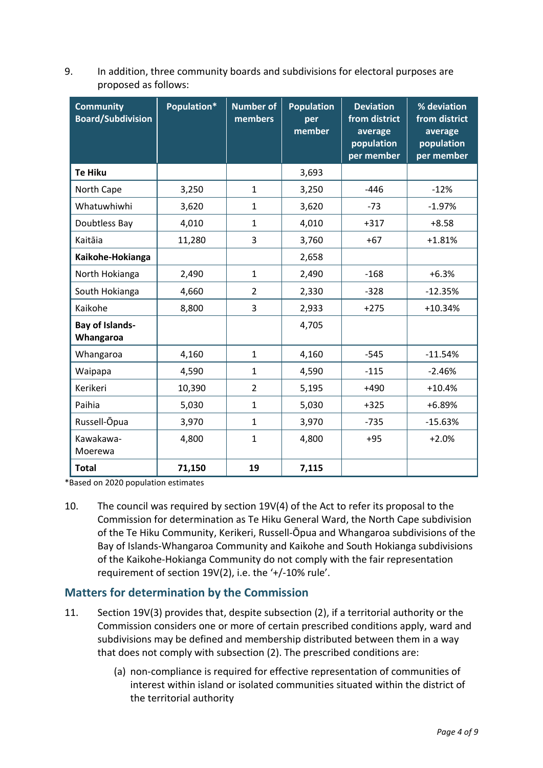| <b>Community</b><br><b>Board/Subdivision</b> | Population* | <b>Number of</b><br>members | <b>Population</b><br>per<br>member | <b>Deviation</b><br>from district<br>average<br>population<br>per member | % deviation<br>from district<br>average<br>population<br>per member |
|----------------------------------------------|-------------|-----------------------------|------------------------------------|--------------------------------------------------------------------------|---------------------------------------------------------------------|
| <b>Te Hiku</b>                               |             |                             | 3,693                              |                                                                          |                                                                     |
| North Cape                                   | 3,250       | $\mathbf{1}$                | 3,250                              | $-446$                                                                   | $-12%$                                                              |
| Whatuwhiwhi                                  | 3,620       | $\mathbf{1}$                | 3,620                              | $-73$                                                                    | $-1.97%$                                                            |
| Doubtless Bay                                | 4,010       | $\mathbf{1}$                | 4,010                              | $+317$                                                                   | $+8.58$                                                             |
| Kaitāia                                      | 11,280      | 3                           | 3,760                              | $+67$                                                                    | $+1.81%$                                                            |
| Kaikohe-Hokianga                             |             |                             | 2,658                              |                                                                          |                                                                     |
| North Hokianga                               | 2,490       | $\mathbf{1}$                | 2,490                              | $-168$                                                                   | $+6.3%$                                                             |
| South Hokianga                               | 4,660       | $\overline{2}$              | 2,330                              | $-328$                                                                   | $-12.35%$                                                           |
| Kaikohe                                      | 8,800       | 3                           | 2,933                              | $+275$                                                                   | $+10.34%$                                                           |
| <b>Bay of Islands-</b><br>Whangaroa          |             |                             | 4,705                              |                                                                          |                                                                     |
| Whangaroa                                    | 4,160       | $\mathbf{1}$                | 4,160                              | $-545$                                                                   | $-11.54%$                                                           |
| Waipapa                                      | 4,590       | $\mathbf{1}$                | 4,590                              | $-115$                                                                   | $-2.46%$                                                            |
| Kerikeri                                     | 10,390      | $\overline{2}$              | 5,195                              | $+490$                                                                   | $+10.4%$                                                            |
| Paihia                                       | 5,030       | $\mathbf{1}$                | 5,030                              | $+325$                                                                   | +6.89%                                                              |
| Russell-Ōpua                                 | 3,970       | $\mathbf{1}$                | 3,970                              | $-735$                                                                   | $-15.63%$                                                           |
| Kawakawa-<br>Moerewa                         | 4,800       | $\mathbf{1}$                | 4,800                              | $+95$                                                                    | $+2.0%$                                                             |
| <b>Total</b>                                 | 71,150      | 19                          | 7,115                              |                                                                          |                                                                     |

9. In addition, three community boards and subdivisions for electoral purposes are proposed as follows:

\*Based on 2020 population estimates

10. The council was required by section 19V(4) of the Act to refer its proposal to the Commission for determination as Te Hiku General Ward, the North Cape subdivision of the Te Hiku Community, Kerikeri, Russell-Ōpua and Whangaroa subdivisions of the Bay of Islands-Whangaroa Community and Kaikohe and South Hokianga subdivisions of the Kaikohe-Hokianga Community do not comply with the fair representation requirement of section 19V(2), i.e. the '+/-10% rule'.

## **Matters for determination by the Commission**

- 11. Section 19V(3) provides that, despite subsection (2), if a territorial authority or the Commission considers one or more of certain prescribed conditions apply, ward and subdivisions may be defined and membership distributed between them in a way that does not comply with subsection (2). The prescribed conditions are:
	- (a) non-compliance is required for effective representation of communities of interest within island or isolated communities situated within the district of the territorial authority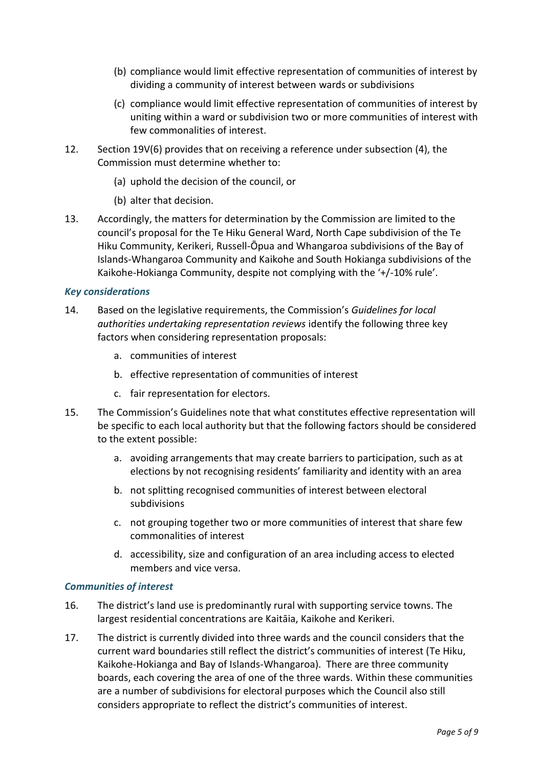- (b) compliance would limit effective representation of communities of interest by dividing a community of interest between wards or subdivisions
- (c) compliance would limit effective representation of communities of interest by uniting within a ward or subdivision two or more communities of interest with few commonalities of interest.
- 12. Section 19V(6) provides that on receiving a reference under subsection (4), the Commission must determine whether to:
	- (a) uphold the decision of the council, or
	- (b) alter that decision.
- 13. Accordingly, the matters for determination by the Commission are limited to the council's proposal for the Te Hiku General Ward, North Cape subdivision of the Te Hiku Community, Kerikeri, Russell-Ōpua and Whangaroa subdivisions of the Bay of Islands-Whangaroa Community and Kaikohe and South Hokianga subdivisions of the Kaikohe-Hokianga Community, despite not complying with the '+/-10% rule'.

#### *Key considerations*

- 14. Based on the legislative requirements, the Commission's *Guidelines for local authorities undertaking representation reviews* identify the following three key factors when considering representation proposals:
	- a. communities of interest
	- b. effective representation of communities of interest
	- c. fair representation for electors.
- 15. The Commission's Guidelines note that what constitutes effective representation will be specific to each local authority but that the following factors should be considered to the extent possible:
	- a. avoiding arrangements that may create barriers to participation, such as at elections by not recognising residents' familiarity and identity with an area
	- b. not splitting recognised communities of interest between electoral subdivisions
	- c. not grouping together two or more communities of interest that share few commonalities of interest
	- d. accessibility, size and configuration of an area including access to elected members and vice versa.

#### *Communities of interest*

- 16. The district's land use is predominantly rural with supporting service towns. The largest residential concentrations are Kaitāia, Kaikohe and Kerikeri.
- 17. The district is currently divided into three wards and the council considers that the current ward boundaries still reflect the district's communities of interest (Te Hiku, Kaikohe-Hokianga and Bay of Islands-Whangaroa). There are three community boards, each covering the area of one of the three wards. Within these communities are a number of subdivisions for electoral purposes which the Council also still considers appropriate to reflect the district's communities of interest.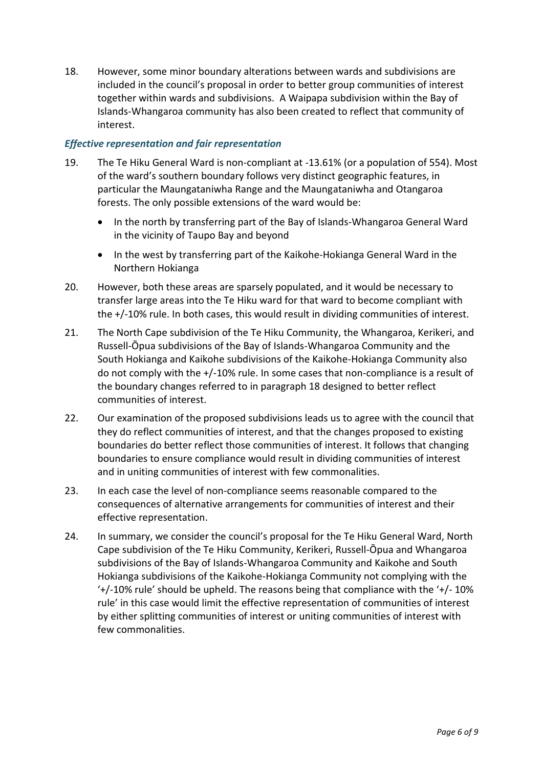18. However, some minor boundary alterations between wards and subdivisions are included in the council's proposal in order to better group communities of interest together within wards and subdivisions. A Waipapa subdivision within the Bay of Islands-Whangaroa community has also been created to reflect that community of interest.

### *Effective representation and fair representation*

- 19. The Te Hiku General Ward is non-compliant at -13.61% (or a population of 554). Most of the ward's southern boundary follows very distinct geographic features, in particular the Maungataniwha Range and the Maungataniwha and Otangaroa forests. The only possible extensions of the ward would be:
	- In the north by transferring part of the Bay of Islands-Whangaroa General Ward in the vicinity of Taupo Bay and beyond
	- In the west by transferring part of the Kaikohe-Hokianga General Ward in the Northern Hokianga
- 20. However, both these areas are sparsely populated, and it would be necessary to transfer large areas into the Te Hiku ward for that ward to become compliant with the +/-10% rule. In both cases, this would result in dividing communities of interest.
- 21. The North Cape subdivision of the Te Hiku Community, the Whangaroa, Kerikeri, and Russell-Ōpua subdivisions of the Bay of Islands-Whangaroa Community and the South Hokianga and Kaikohe subdivisions of the Kaikohe-Hokianga Community also do not comply with the +/-10% rule. In some cases that non-compliance is a result of the boundary changes referred to in paragraph 18 designed to better reflect communities of interest.
- 22. Our examination of the proposed subdivisions leads us to agree with the council that they do reflect communities of interest, and that the changes proposed to existing boundaries do better reflect those communities of interest. It follows that changing boundaries to ensure compliance would result in dividing communities of interest and in uniting communities of interest with few commonalities.
- 23. In each case the level of non-compliance seems reasonable compared to the consequences of alternative arrangements for communities of interest and their effective representation.
- 24. In summary, we consider the council's proposal for the Te Hiku General Ward, North Cape subdivision of the Te Hiku Community, Kerikeri, Russell-Ōpua and Whangaroa subdivisions of the Bay of Islands-Whangaroa Community and Kaikohe and South Hokianga subdivisions of the Kaikohe-Hokianga Community not complying with the '+/-10% rule' should be upheld. The reasons being that compliance with the '+/- 10% rule' in this case would limit the effective representation of communities of interest by either splitting communities of interest or uniting communities of interest with few commonalities.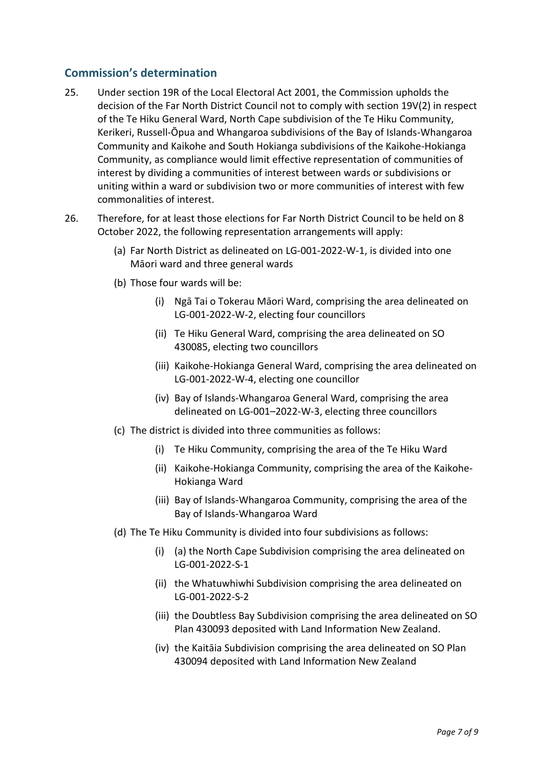## **Commission's determination**

- 25. Under section 19R of the Local Electoral Act 2001, the Commission upholds the decision of the Far North District Council not to comply with section 19V(2) in respect of the Te Hiku General Ward, North Cape subdivision of the Te Hiku Community, Kerikeri, Russell-Ōpua and Whangaroa subdivisions of the Bay of Islands-Whangaroa Community and Kaikohe and South Hokianga subdivisions of the Kaikohe-Hokianga Community, as compliance would limit effective representation of communities of interest by dividing a communities of interest between wards or subdivisions or uniting within a ward or subdivision two or more communities of interest with few commonalities of interest.
- 26. Therefore, for at least those elections for Far North District Council to be held on 8 October 2022, the following representation arrangements will apply:
	- (a) Far North District as delineated on LG-001-2022-W-1, is divided into one Māori ward and three general wards
	- (b) Those four wards will be:
		- (i) Ngā Tai o Tokerau Māori Ward, comprising the area delineated on LG-001-2022-W-2, electing four councillors
		- (ii) Te Hiku General Ward, comprising the area delineated on SO 430085, electing two councillors
		- (iii) Kaikohe-Hokianga General Ward, comprising the area delineated on LG-001-2022-W-4, electing one councillor
		- (iv) Bay of Islands-Whangaroa General Ward, comprising the area delineated on LG-001–2022-W-3, electing three councillors
	- (c) The district is divided into three communities as follows:
		- (i) Te Hiku Community, comprising the area of the Te Hiku Ward
		- (ii) Kaikohe-Hokianga Community, comprising the area of the Kaikohe-Hokianga Ward
		- (iii) Bay of Islands-Whangaroa Community, comprising the area of the Bay of Islands-Whangaroa Ward
	- (d) The Te Hiku Community is divided into four subdivisions as follows:
		- (i) (a) the North Cape Subdivision comprising the area delineated on LG-001-2022-S-1
		- (ii) the Whatuwhiwhi Subdivision comprising the area delineated on LG-001-2022-S-2
		- (iii) the Doubtless Bay Subdivision comprising the area delineated on SO Plan 430093 deposited with Land Information New Zealand.
		- (iv) the Kaitāia Subdivision comprising the area delineated on SO Plan 430094 deposited with Land Information New Zealand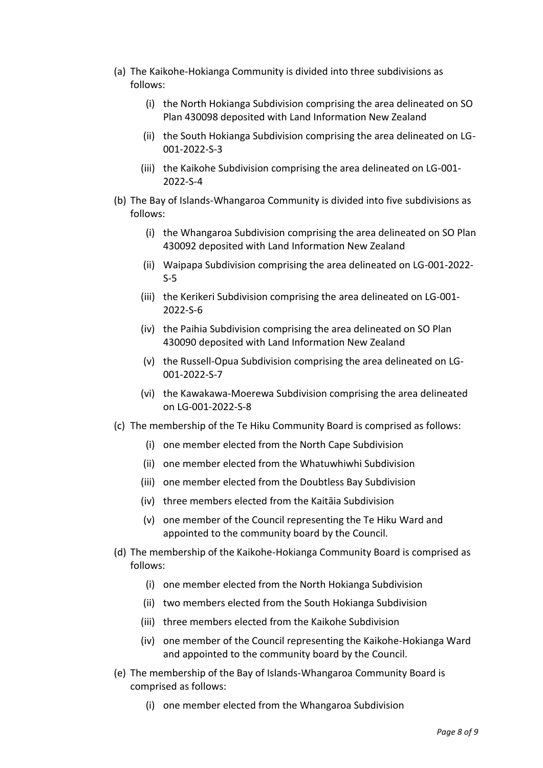- (a) The Kaikohe-Hokianga Community is divided into three subdivisions as follows:
	- (i) the North Hokianga Subdivision comprising the area delineated on SO Plan 430098 deposited with Land Information New Zealand
	- (ii) the South Hokianga Subdivision comprising the area delineated on LG-001-2022-S-3
	- (iii) the Kaikohe Subdivision comprising the area delineated on LG-001- 2022-S-4
- (b) The Bay of Islands-Whangaroa Community is divided into five subdivisions as follows:
	- (i) the Whangaroa Subdivision comprising the area delineated on SO Plan 430092 deposited with Land Information New Zealand
	- (ii) Waipapa Subdivision comprising the area delineated on LG-001-2022- S-5
	- (iii) the Kerikeri Subdivision comprising the area delineated on LG-001- 2022-S-6
	- (iv) the Paihia Subdivision comprising the area delineated on SO Plan 430090 deposited with Land Information New Zealand
	- (v) the Russell-Opua Subdivision comprising the area delineated on LG-001-2022-S-7
	- (vi) the Kawakawa-Moerewa Subdivision comprising the area delineated on LG-001-2022-S-8
- (c) The membership of the Te Hiku Community Board is comprised as follows:
	- (i) one member elected from the North Cape Subdivision
	- (ii) one member elected from the Whatuwhiwhi Subdivision
	- (iii) one member elected from the Doubtless Bay Subdivision
	- (iv) three members elected from the Kaitāia Subdivision
	- (v) one member of the Council representing the Te Hiku Ward and appointed to the community board by the Council.
- (d) The membership of the Kaikohe-Hokianga Community Board is comprised as follows:
	- (i) one member elected from the North Hokianga Subdivision
	- (ii) two members elected from the South Hokianga Subdivision
	- (iii) three members elected from the Kaikohe Subdivision
	- (iv) one member of the Council representing the Kaikohe-Hokianga Ward and appointed to the community board by the Council.
- (e) The membership of the Bay of Islands-Whangaroa Community Board is comprised as follows:
	- (i) one member elected from the Whangaroa Subdivision